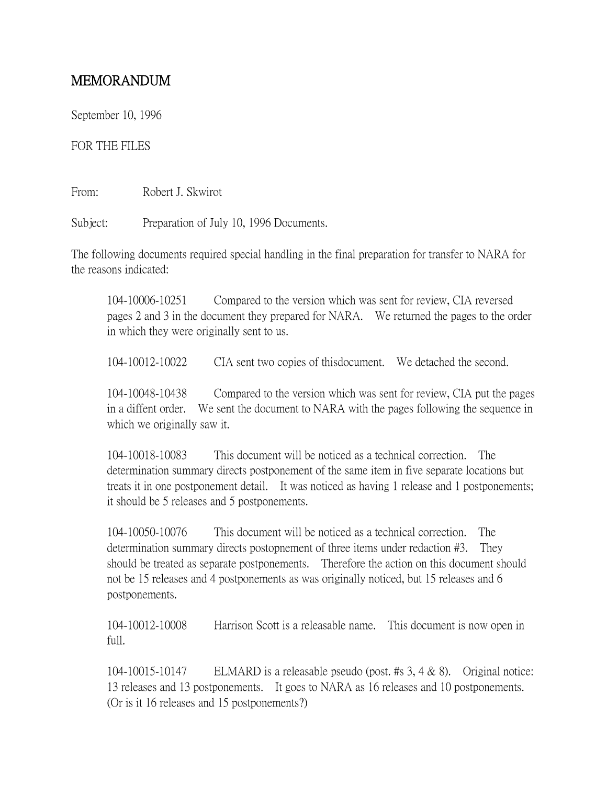## MEMORANDUM

September 10, 1996

## FOR THE FILES

From: Robert J. Skwirot

Subject: Preparation of July 10, 1996 Documents.

The following documents required special handling in the final preparation for transfer to NARA for the reasons indicated:

104-10006-10251 Compared to the version which was sent for review, CIA reversed pages 2 and 3 in the document they prepared for NARA. We returned the pages to the order in which they were originally sent to us.

104-10012-10022 CIA sent two copies of thisdocument. We detached the second.

104-10048-10438 Compared to the version which was sent for review, CIA put the pages in a diffent order. We sent the document to NARA with the pages following the sequence in which we originally saw it.

104-10018-10083 This document will be noticed as a technical correction. The determination summary directs postponement of the same item in five separate locations but treats it in one postponement detail. It was noticed as having 1 release and 1 postponements; it should be 5 releases and 5 postponements.

104-10050-10076 This document will be noticed as a technical correction. The determination summary directs postopnement of three items under redaction #3. They should be treated as separate postponements. Therefore the action on this document should not be 15 releases and 4 postponements as was originally noticed, but 15 releases and 6 postponements.

104-10012-10008 Harrison Scott is a releasable name. This document is now open in full.

104-10015-10147 ELMARD is a releasable pseudo (post. #s 3, 4 & 8). Original notice: 13 releases and 13 postponements. It goes to NARA as 16 releases and 10 postponements. (Or is it 16 releases and 15 postponements?)